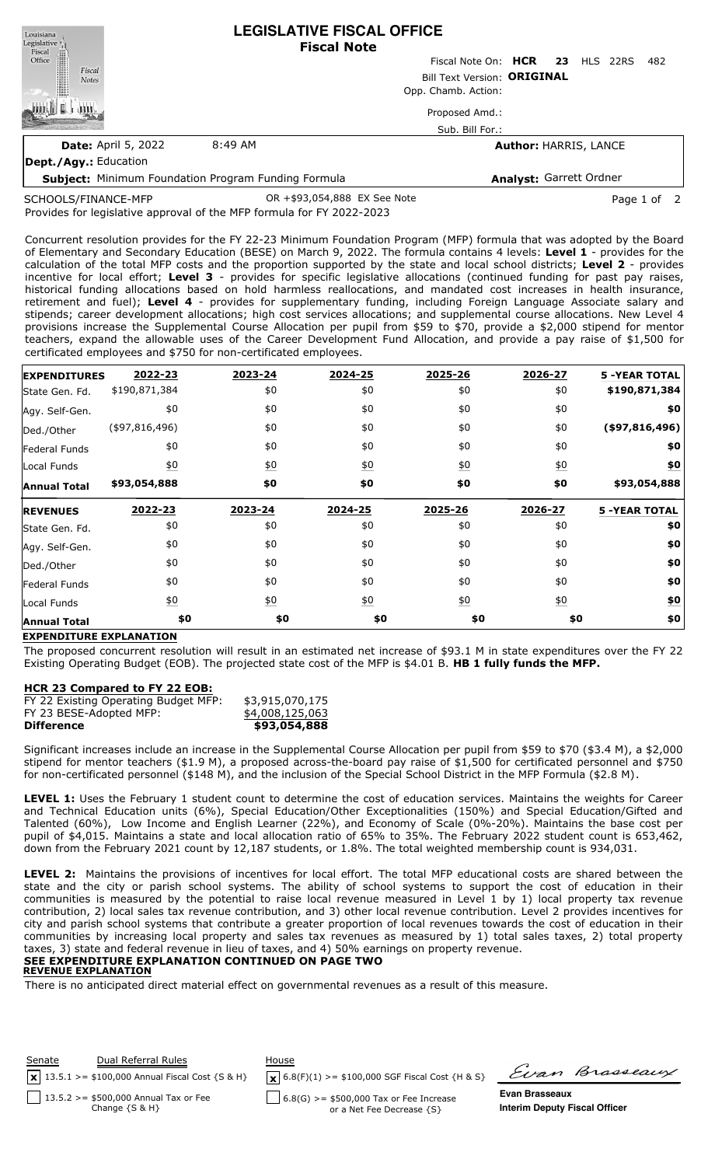| Louisiana<br>$\begin{tabular}{c} \bf \textit{Legislative} \\ \bf \textit{Fiscal} \\ \bf \textit{Office} \\ \end{tabular}$ |                                    | <b>LEGISLATIVE FISCAL OFFICE</b><br><b>Fiscal Note</b> |                                 |  |  |  |      |
|---------------------------------------------------------------------------------------------------------------------------|------------------------------------|--------------------------------------------------------|---------------------------------|--|--|--|------|
|                                                                                                                           |                                    |                                                        | Fiscal Note On: HCR 23 HLS 22RS |  |  |  | -482 |
| $\frac{1}{2}$<br>Fiscal<br><b>Notes</b>                                                                                   | <b>Bill Text Version: ORIGINAL</b> |                                                        |                                 |  |  |  |      |
|                                                                                                                           | Opp. Chamb. Action:                |                                                        |                                 |  |  |  |      |
|                                                                                                                           |                                    |                                                        | Proposed Amd.:                  |  |  |  |      |
|                                                                                                                           |                                    |                                                        | Sub. Bill For.:                 |  |  |  |      |
| <b>Date: April 5, 2022</b>                                                                                                | 8:49 AM                            |                                                        | <b>Author: HARRIS, LANCE</b>    |  |  |  |      |
| Dept./Agy.: Education                                                                                                     |                                    |                                                        |                                 |  |  |  |      |

**Subject:** Minimum Foundation Program Funding Formula **Analyst:** Garrett Ordner OR +\$93,054,888 EX See Note Page 1 of 2

Provides for legislative approval of the MFP formula for FY 2022-2023 SCHOOLS/FINANCE-MFP

Concurrent resolution provides for the FY 22-23 Minimum Foundation Program (MFP) formula that was adopted by the Board of Elementary and Secondary Education (BESE) on March 9, 2022. The formula contains 4 levels: **Level 1** - provides for the calculation of the total MFP costs and the proportion supported by the state and local school districts; **Level 2** - provides incentive for local effort; **Level 3** - provides for specific legislative allocations (continued funding for past pay raises, historical funding allocations based on hold harmless reallocations, and mandated cost increases in health insurance, retirement and fuel); **Level 4** - provides for supplementary funding, including Foreign Language Associate salary and stipends; career development allocations; high cost services allocations; and supplemental course allocations. New Level 4 provisions increase the Supplemental Course Allocation per pupil from \$59 to \$70, provide a \$2,000 stipend for mentor teachers, expand the allowable uses of the Career Development Fund Allocation, and provide a pay raise of \$1,500 for certificated employees and \$750 for non-certificated employees.

| <b>EXPENDITURES</b> | 2022-23           | 2023-24          | 2024-25          | 2025-26          | 2026-27          | <b>5 -YEAR TOTAL</b> |
|---------------------|-------------------|------------------|------------------|------------------|------------------|----------------------|
| State Gen. Fd.      | \$190,871,384     | \$0              | \$0              | \$0              | \$0              | \$190,871,384        |
| Agy. Self-Gen.      | \$0               | \$0              | \$0              | \$0              | \$0              | \$0                  |
| Ded./Other          | $($ \$97,816,496) | \$0              | \$0              | \$0              | \$0              | (\$97,816,496)       |
| Federal Funds       | \$0               | \$0              | \$0              | \$0              | \$0              | \$0                  |
| Local Funds         | $\underline{50}$  | $\underline{50}$ | $\underline{40}$ | 60               | $\underline{50}$ | \$0                  |
| <b>Annual Total</b> | \$93,054,888      | \$0              | \$0              | \$0              | \$0              | \$93,054,888         |
| <b>REVENUES</b>     | 2022-23           | 2023-24          | 2024-25          | 2025-26          | 2026-27          | <b>5 -YEAR TOTAL</b> |
| State Gen. Fd.      | \$0               | \$0              | \$0              | \$0              | \$0              | \$0                  |
| Agy. Self-Gen.      | \$0               | \$0              | \$0              | \$0              | \$0              | \$0                  |
| Ded./Other          | \$0               | \$0              | \$0              | \$0              | \$0              | \$0                  |
| Federal Funds       | \$0               | \$0              | \$0              | \$0              | \$0              | \$0                  |
| Local Funds         | $\underline{50}$  | $\underline{50}$ | $\underline{40}$ | $\underline{50}$ | $\underline{50}$ | \$0                  |
| <b>Annual Total</b> | \$0               | \$0              | \$0              |                  | \$0              | \$0<br>\$0           |

## **EXPENDITURE EXPLANATION**

The proposed concurrent resolution will result in an estimated net increase of \$93.1 M in state expenditures over the FY 22 Existing Operating Budget (EOB). The projected state cost of the MFP is \$4.01 B. **HB 1 fully funds the MFP.**

## **HCR 23 Compared to FY 22 EOB:**

| FY 22 Existing Operating Budget MFP: | \$3,915,070,175 |
|--------------------------------------|-----------------|
| FY 23 BESE-Adopted MFP:              | \$4,008,125,063 |
| <b>Difference</b>                    | \$93,054,888    |

Significant increases include an increase in the Supplemental Course Allocation per pupil from \$59 to \$70 (\$3.4 M), a \$2,000 stipend for mentor teachers (\$1.9 M), a proposed across-the-board pay raise of \$1,500 for certificated personnel and \$750 for non-certificated personnel (\$148 M), and the inclusion of the Special School District in the MFP Formula (\$2.8 M).

**LEVEL 1:** Uses the February 1 student count to determine the cost of education services. Maintains the weights for Career and Technical Education units (6%), Special Education/Other Exceptionalities (150%) and Special Education/Gifted and Talented (60%), Low Income and English Learner (22%), and Economy of Scale (0%-20%). Maintains the base cost per pupil of \$4,015. Maintains a state and local allocation ratio of 65% to 35%. The February 2022 student count is 653,462, down from the February 2021 count by 12,187 students, or 1.8%. The total weighted membership count is 934,031.

**LEVEL 2:** Maintains the provisions of incentives for local effort. The total MFP educational costs are shared between the state and the city or parish school systems. The ability of school systems to support the cost of education in their communities is measured by the potential to raise local revenue measured in Level 1 by 1) local property tax revenue contribution, 2) local sales tax revenue contribution, and 3) other local revenue contribution. Level 2 provides incentives for city and parish school systems that contribute a greater proportion of local revenues towards the cost of education in their communities by increasing local property and sales tax revenues as measured by 1) total sales taxes, 2) total property taxes, 3) state and federal revenue in lieu of taxes, and 4) 50% earnings on property revenue. **SEE EXPENDITURE EXPLANATION CONTINUED ON PAGE TWO**

# **REVENUE EXPLANATION**

There is no anticipated direct material effect on governmental revenues as a result of this measure.